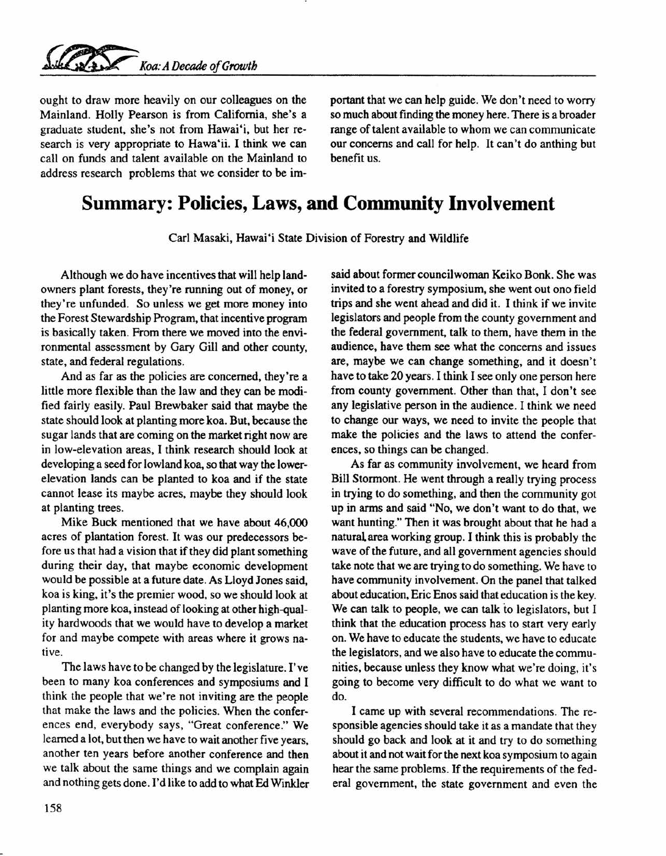ought to draw more heavily on our colleagues on the Mainland. Holly Pearson is from California, she's a graduate student, she's not from Hawai'i, but her research is very appropriate to Hawa'ii. I think we can call on funds and talent available on the Mainland to address research problems that we consider to be important that we can help guide. We don't need to worry so much about finding the money here. There is a broader range of talent available to whom we can communicate our concerns and call for help. It can't do anthing but benefit us.

## **Summary: Policies, Laws, and Community Involvement**

Carl Masaki, Hawai'i State Division of Forestry and Wildlife

Although we do have incentives that will help landowners plant forests, they're running out of money, or they're unfunded. So unless we get more money into the Forest Stewardship Program, that incentive program is basically taken. From there we moved into the environmental assessment by Gary Gill and other county, state, and federal regulations.

And as far as the policies are concerned, they're a little more flexible than the law and they can be modified fairly easily. Paul Brewbaker said that maybe the state should look at planting more koa. But, because the sugar lands that are coming on the market right now are in low-elevation areas, I think research should look at developing a seed for lowland koa, so that way the lowerelevation lands can be planted to koa and if the state cannot lease its maybe acres, maybe they should look at planting trees.

Mike Buck mentioned that we have about 46,000 acres of plantation forest. It was our predecessors before us that had a vision that if they did plant something during their day, that maybe economic development would be possible at a future date. As Lloyd Jones said, koa is king, it's the premier wood, so we should look at planting more koa, instead of looking at other high-quality hardwoods that we would have to develop a market for and maybe compete with areas where it grows native.

The laws have to be changed by the legislature. I've been to many koa conferences and symposiums and I think the people that we're not inviting are the people that make the laws and the policies. When the conferences end, everybody says, "Great conference." We learned a lot, but then we have to wait another five years, another ten years before another conference and then we talk about the same things and we complain again and nothing gets done. I'd like to add to what Ed Winkler said about former councilwoman Keiko Bonk. She was invited to a forestry symposium, she went out ono field trips and she went ahead and did it. I think if we invite legislators and people from the county government and the federal government, talk to them, have them in the audience, have them see what the concerns and issues are, maybe we can change something, and it doesn't have to take 20 years. I think I see only one person here from county government. Other than that, I don't see any legislative person in the audience. I think we need to change our ways, we need to invite the people that make the policies and the laws to attend the conferences, so things can be changed.

As far as community involvement, we heard from Bill Stormont. He went through a really trying process in trying to do something, and then the community got up in arms and said "No, we don't want to do that, we want hunting." Then it was brought about that he had a natural area working group. I think this is probably the wave of the future, and all government agencies should take note that we are trying to do something. We have to have community involvement. On the panel that talked about education, Eric Enos said that education is the key. We can talk to people, we can talk to legislators, but I think that the education process has to start very early on. We have to educate the students, we have to educate the legislators, and we also have to educate the communities, because unless they know what we're doing, it's going to become very difficult to do what we want to do.

I came up with several recommendations. The responsible agencies should take it as a mandate that they should go back and look at it and try to do something about it and not wait for the next koa symposium to again hear the same problems. If the requirements of the federal government, the state government and even the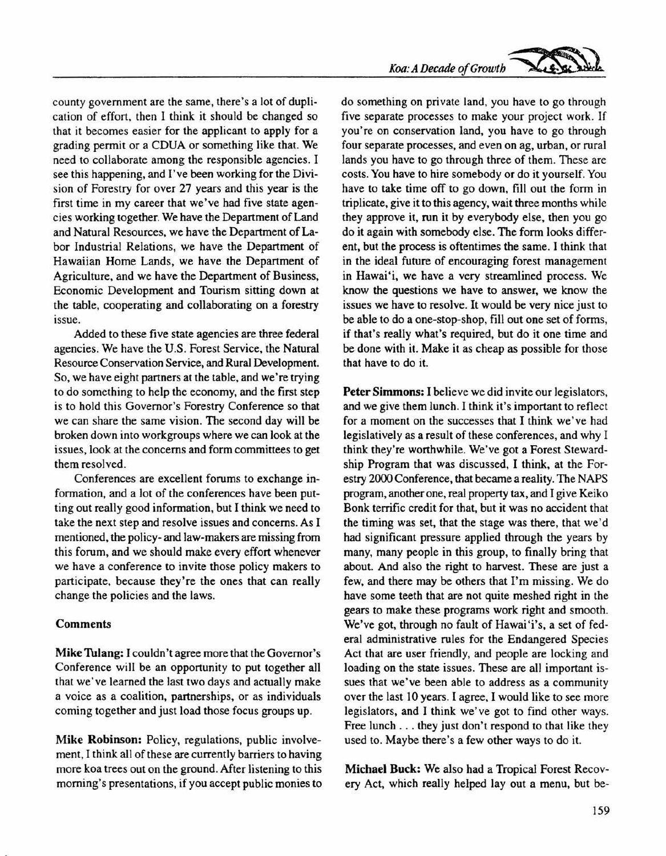county government are the same, there's a lot of duplication of effort, then I think it should be changed so that it becomes easier for the applicant to apply for a grading permit or a CDUA or something like that. We need to collaborate among the responsible agencies. I see this happening, and I've been working for the Division of Forestry for over 27 years and this year is the first time in my career that we've had five state agencies working together. We have the Department of Land and Natural Resources, we have the Department of Labor Industrial Relations, we have the Department of Hawaiian Home Lands, we have the Department of Agriculture, and we have the Department of Business, Economic Development and Tourism sitting down at the table, cooperating and collaborating on a forestry issue.

Added to these five state agencies are three federal agencies. We have the U.S. Forest Service, the Natural Resource Conservation Service, and Rural Development. So, we have eight partners at the table, and we're trying to do something to help the economy, and the first step is to hold this Governor's Forestry Conference so that we can share the same vision. The second day will be broken down into workgroups where we can look at the issues, look at the concerns and form committees to get them resolved.

Conferences are excellent forums to exchange information, and a lot of the conferences have been putting out really good information, but I think we need to take the next step and resolve issues and concerns. As I mentioned, the policy- and law-makers are missing from this forum, and we should make every effort whenever we have a conference to invite those policy makers to participate, because they're the ones that can really change the policies and the laws.

## Comments

Mike Tulang: I couldn't agree more that the Governor's Conference will be an opportunity to put together all that we've learned the last two days and actually make a voice as a coalition, partnerships, or as individuals coming together and just load those focus groups up.

Mike Robinson: Policy, regulations, public involvement, I think all of these are currently barriers to having more koa trees out on the ground. After listening to this morning's presentations, if you accept public monies to

do something on private land, you have to go through five separate processes to make your project work. If you're on conservation land, you have to go through four separate processes, and even on ag, urban, or rural lands you have to go through three of them. These are costs. You have to hire somebody or do it yourself. You have to take time off to go down, fill out the form in triplicate, give it to this agency, wait three months while they approve it, run it by everybody else, then you go do it again with somebody else. The form looks different, but the process is oftentimes the same. I think that in the ideal future of encouraging forest management in Hawai"i, we have a very streamlined process. We know the questions we have to answer, we know the issues we have to resolve. It would be very nice just to be able to do a one-stop-shop, fill out one set of forms, if that's really what's required, but do it one time and be done with it. Make it as cheap as possible for those that have to do it.

Peter Simmons: I believe we did invite our legislators, and we give them lunch. I think it's important to reflect for a moment on the successes that I think we've had legislatively as a result of these conferences, and why I think they're worthwhile. We've got a Forest Stewardship Program that was discussed, I think, at the Forestry 2000 Conference, that became a reality. The NAPS program, another one, real property tax, and I give Keiko Bonk terrific credit for that, but it was no accident that the timing was set, that the stage was there, that we'd had significant pressure applied through the years by many, many people in this group, to finally bring that about. And also the right to harvest. These are just a few, and there may be others that I'm missing. We do have some teeth that are not quite meshed right in the gears to make these programs work right and smooth. We've got, through no fault of Hawai'i's, a set of federal administrative rules for the Endangered Species Act that are user friendly, and people are locking and loading on the state issues. These are all important issues that we've been able to address as a community over the last 10 years. I agree, I would like to see more legislators, and I think we've got to find other ways. Free lunch ... they just don't respond to that like they used to. Maybe there's a few other ways to do it.

Michael Buck: We also had a Tropical Forest Recovery Act, which really helped layout a menu, but be-